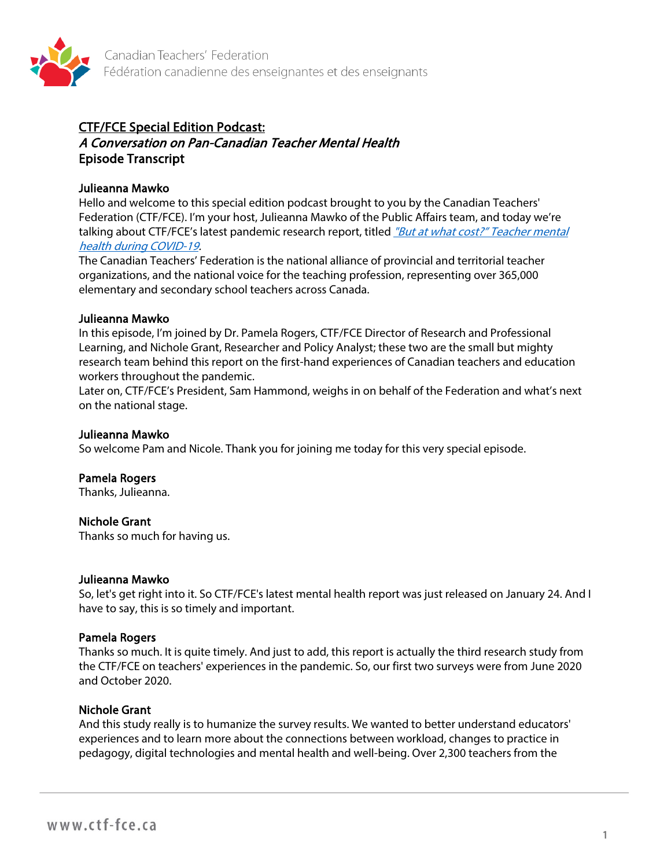

# CTF/FCE Special Edition Podcast:

# A Conversation on Pan-Canadian Teacher Mental Health Episode Transcript

## Julieanna Mawko

Hello and welcome to this special edition podcast brought to you by the Canadian Teachers' Federation (CTF/FCE). I'm your host, Julieanna Mawko of the Public Affairs team, and today we're talking about CTF/FCE's latest pandemic research report, titled "But at what cost?" Teacher mental [health during COVID-19.](https://documentcloud.adobe.com/link/track?uri=urn:aaid:scds:US:1cc80bf3-6c8e-4060-81e4-7493f178d1af)

The Canadian Teachers' Federation is the national alliance of provincial and territorial teacher organizations, and the national voice for the teaching profession, representing over 365,000 elementary and secondary school teachers across Canada.

### Julieanna Mawko

In this episode, I'm joined by Dr. Pamela Rogers, CTF/FCE Director of Research and Professional Learning, and Nichole Grant, Researcher and Policy Analyst; these two are the small but mighty research team behind this report on the first-hand experiences of Canadian teachers and education workers throughout the pandemic.

Later on, CTF/FCE's President, Sam Hammond, weighs in on behalf of the Federation and what's next on the national stage.

### Julieanna Mawko

So welcome Pam and Nicole. Thank you for joining me today for this very special episode.

### Pamela Rogers

Thanks, Julieanna.

### Nichole Grant

Thanks so much for having us.

#### Julieanna Mawko

So, let's get right into it. So CTF/FCE's latest mental health report was just released on January 24. And I have to say, this is so timely and important.

### Pamela Rogers

Thanks so much. It is quite timely. And just to add, this report is actually the third research study from the CTF/FCE on teachers' experiences in the pandemic. So, our first two surveys were from June 2020 and October 2020.

### Nichole Grant

And this study really is to humanize the survey results. We wanted to better understand educators' experiences and to learn more about the connections between workload, changes to practice in pedagogy, digital technologies and mental health and well-being. Over 2,300 teachers from the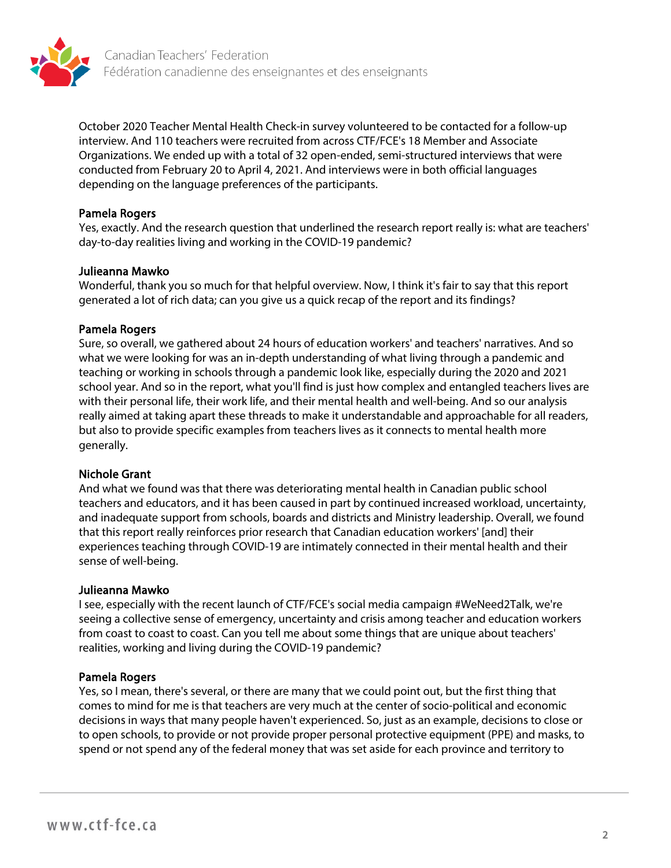

October 2020 Teacher Mental Health Check-in survey volunteered to be contacted for a follow-up interview. And 110 teachers were recruited from across CTF/FCE's 18 Member and Associate Organizations. We ended up with a total of 32 open-ended, semi-structured interviews that were conducted from February 20 to April 4, 2021. And interviews were in both official languages depending on the language preferences of the participants.

### Pamela Rogers

Yes, exactly. And the research question that underlined the research report really is: what are teachers' day-to-day realities living and working in the COVID-19 pandemic?

#### Julieanna Mawko

Wonderful, thank you so much for that helpful overview. Now, I think it's fair to say that this report generated a lot of rich data; can you give us a quick recap of the report and its findings?

#### Pamela Rogers

Sure, so overall, we gathered about 24 hours of education workers' and teachers' narratives. And so what we were looking for was an in-depth understanding of what living through a pandemic and teaching or working in schools through a pandemic look like, especially during the 2020 and 2021 school year. And so in the report, what you'll find is just how complex and entangled teachers lives are with their personal life, their work life, and their mental health and well-being. And so our analysis really aimed at taking apart these threads to make it understandable and approachable for all readers, but also to provide specific examples from teachers lives as it connects to mental health more generally.

### Nichole Grant

And what we found was that there was deteriorating mental health in Canadian public school teachers and educators, and it has been caused in part by continued increased workload, uncertainty, and inadequate support from schools, boards and districts and Ministry leadership. Overall, we found that this report really reinforces prior research that Canadian education workers' [and] their experiences teaching through COVID-19 are intimately connected in their mental health and their sense of well-being.

#### Julieanna Mawko

I see, especially with the recent launch of CTF/FCE's social media campaign #WeNeed2Talk, we're seeing a collective sense of emergency, uncertainty and crisis among teacher and education workers from coast to coast to coast. Can you tell me about some things that are unique about teachers' realities, working and living during the COVID-19 pandemic?

### Pamela Rogers

Yes, so I mean, there's several, or there are many that we could point out, but the first thing that comes to mind for me is that teachers are very much at the center of socio-political and economic decisions in ways that many people haven't experienced. So, just as an example, decisions to close or to open schools, to provide or not provide proper personal protective equipment (PPE) and masks, to spend or not spend any of the federal money that was set aside for each province and territory to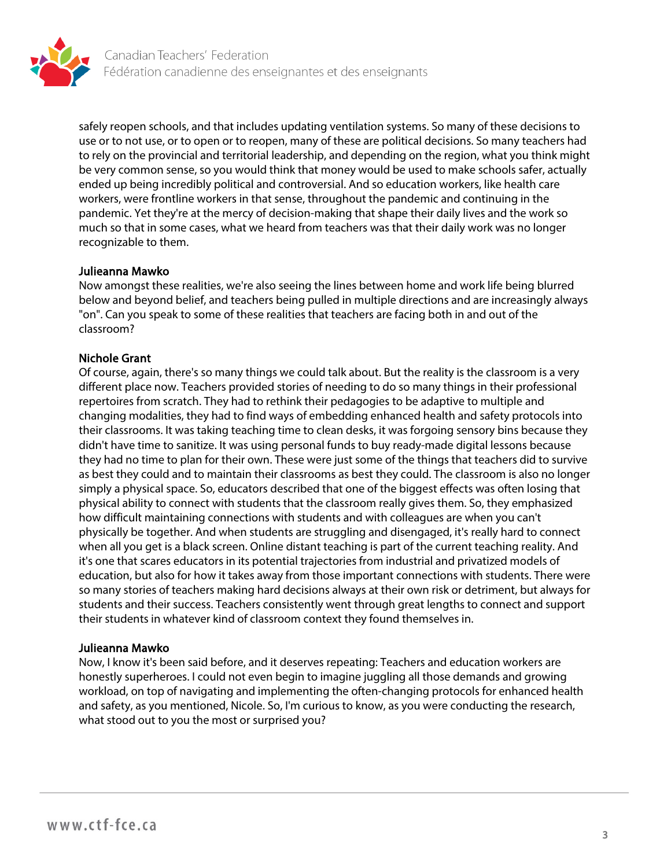

safely reopen schools, and that includes updating ventilation systems. So many of these decisions to use or to not use, or to open or to reopen, many of these are political decisions. So many teachers had to rely on the provincial and territorial leadership, and depending on the region, what you think might be very common sense, so you would think that money would be used to make schools safer, actually ended up being incredibly political and controversial. And so education workers, like health care workers, were frontline workers in that sense, throughout the pandemic and continuing in the pandemic. Yet they're at the mercy of decision-making that shape their daily lives and the work so much so that in some cases, what we heard from teachers was that their daily work was no longer recognizable to them.

#### Julieanna Mawko

Now amongst these realities, we're also seeing the lines between home and work life being blurred below and beyond belief, and teachers being pulled in multiple directions and are increasingly always "on". Can you speak to some of these realities that teachers are facing both in and out of the classroom?

### Nichole Grant

Of course, again, there's so many things we could talk about. But the reality is the classroom is a very different place now. Teachers provided stories of needing to do so many things in their professional repertoires from scratch. They had to rethink their pedagogies to be adaptive to multiple and changing modalities, they had to find ways of embedding enhanced health and safety protocols into their classrooms. It was taking teaching time to clean desks, it was forgoing sensory bins because they didn't have time to sanitize. It was using personal funds to buy ready-made digital lessons because they had no time to plan for their own. These were just some of the things that teachers did to survive as best they could and to maintain their classrooms as best they could. The classroom is also no longer simply a physical space. So, educators described that one of the biggest effects was often losing that physical ability to connect with students that the classroom really gives them. So, they emphasized how difficult maintaining connections with students and with colleagues are when you can't physically be together. And when students are struggling and disengaged, it's really hard to connect when all you get is a black screen. Online distant teaching is part of the current teaching reality. And it's one that scares educators in its potential trajectories from industrial and privatized models of education, but also for how it takes away from those important connections with students. There were so many stories of teachers making hard decisions always at their own risk or detriment, but always for students and their success. Teachers consistently went through great lengths to connect and support their students in whatever kind of classroom context they found themselves in.

#### Julieanna Mawko

Now, I know it's been said before, and it deserves repeating: Teachers and education workers are honestly superheroes. I could not even begin to imagine juggling all those demands and growing workload, on top of navigating and implementing the often-changing protocols for enhanced health and safety, as you mentioned, Nicole. So, I'm curious to know, as you were conducting the research, what stood out to you the most or surprised you?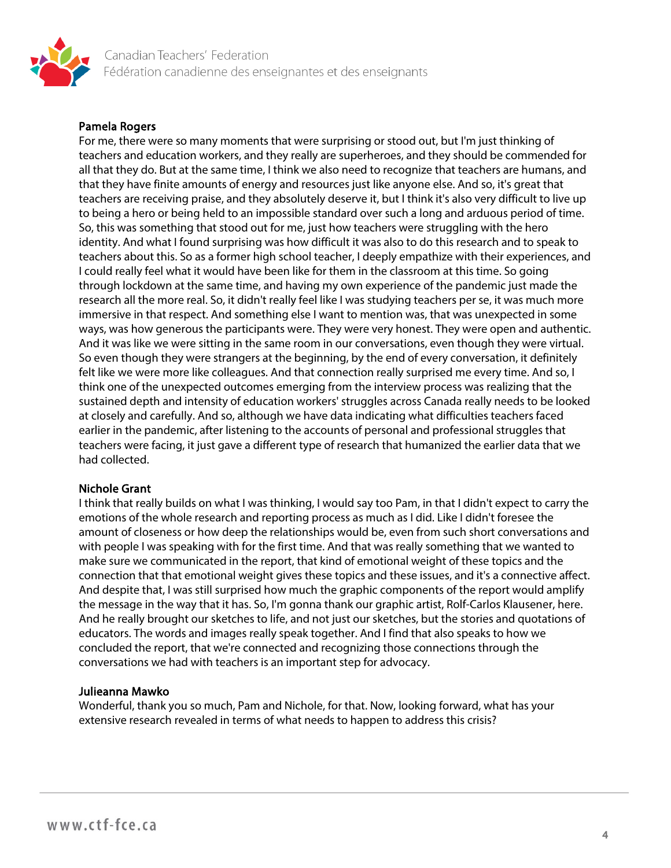

### Pamela Rogers

For me, there were so many moments that were surprising or stood out, but I'm just thinking of teachers and education workers, and they really are superheroes, and they should be commended for all that they do. But at the same time, I think we also need to recognize that teachers are humans, and that they have finite amounts of energy and resources just like anyone else. And so, it's great that teachers are receiving praise, and they absolutely deserve it, but I think it's also very difficult to live up to being a hero or being held to an impossible standard over such a long and arduous period of time. So, this was something that stood out for me, just how teachers were struggling with the hero identity. And what I found surprising was how difficult it was also to do this research and to speak to teachers about this. So as a former high school teacher, I deeply empathize with their experiences, and I could really feel what it would have been like for them in the classroom at this time. So going through lockdown at the same time, and having my own experience of the pandemic just made the research all the more real. So, it didn't really feel like I was studying teachers per se, it was much more immersive in that respect. And something else I want to mention was, that was unexpected in some ways, was how generous the participants were. They were very honest. They were open and authentic. And it was like we were sitting in the same room in our conversations, even though they were virtual. So even though they were strangers at the beginning, by the end of every conversation, it definitely felt like we were more like colleagues. And that connection really surprised me every time. And so, I think one of the unexpected outcomes emerging from the interview process was realizing that the sustained depth and intensity of education workers' struggles across Canada really needs to be looked at closely and carefully. And so, although we have data indicating what difficulties teachers faced earlier in the pandemic, after listening to the accounts of personal and professional struggles that teachers were facing, it just gave a different type of research that humanized the earlier data that we had collected.

### Nichole Grant

I think that really builds on what I was thinking, I would say too Pam, in that I didn't expect to carry the emotions of the whole research and reporting process as much as I did. Like I didn't foresee the amount of closeness or how deep the relationships would be, even from such short conversations and with people I was speaking with for the first time. And that was really something that we wanted to make sure we communicated in the report, that kind of emotional weight of these topics and the connection that that emotional weight gives these topics and these issues, and it's a connective affect. And despite that, I was still surprised how much the graphic components of the report would amplify the message in the way that it has. So, I'm gonna thank our graphic artist, Rolf-Carlos Klausener, here. And he really brought our sketches to life, and not just our sketches, but the stories and quotations of educators. The words and images really speak together. And I find that also speaks to how we concluded the report, that we're connected and recognizing those connections through the conversations we had with teachers is an important step for advocacy.

#### Julieanna Mawko

Wonderful, thank you so much, Pam and Nichole, for that. Now, looking forward, what has your extensive research revealed in terms of what needs to happen to address this crisis?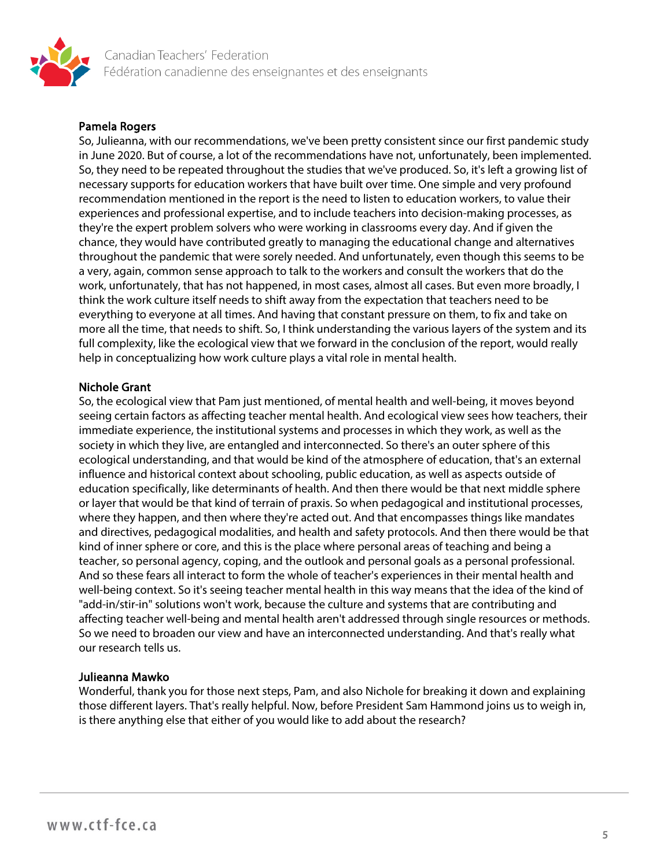

### Pamela Rogers

So, Julieanna, with our recommendations, we've been pretty consistent since our first pandemic study in June 2020. But of course, a lot of the recommendations have not, unfortunately, been implemented. So, they need to be repeated throughout the studies that we've produced. So, it's left a growing list of necessary supports for education workers that have built over time. One simple and very profound recommendation mentioned in the report is the need to listen to education workers, to value their experiences and professional expertise, and to include teachers into decision-making processes, as they're the expert problem solvers who were working in classrooms every day. And if given the chance, they would have contributed greatly to managing the educational change and alternatives throughout the pandemic that were sorely needed. And unfortunately, even though this seems to be a very, again, common sense approach to talk to the workers and consult the workers that do the work, unfortunately, that has not happened, in most cases, almost all cases. But even more broadly, I think the work culture itself needs to shift away from the expectation that teachers need to be everything to everyone at all times. And having that constant pressure on them, to fix and take on more all the time, that needs to shift. So, I think understanding the various layers of the system and its full complexity, like the ecological view that we forward in the conclusion of the report, would really help in conceptualizing how work culture plays a vital role in mental health.

### Nichole Grant

So, the ecological view that Pam just mentioned, of mental health and well-being, it moves beyond seeing certain factors as affecting teacher mental health. And ecological view sees how teachers, their immediate experience, the institutional systems and processes in which they work, as well as the society in which they live, are entangled and interconnected. So there's an outer sphere of this ecological understanding, and that would be kind of the atmosphere of education, that's an external influence and historical context about schooling, public education, as well as aspects outside of education specifically, like determinants of health. And then there would be that next middle sphere or layer that would be that kind of terrain of praxis. So when pedagogical and institutional processes, where they happen, and then where they're acted out. And that encompasses things like mandates and directives, pedagogical modalities, and health and safety protocols. And then there would be that kind of inner sphere or core, and this is the place where personal areas of teaching and being a teacher, so personal agency, coping, and the outlook and personal goals as a personal professional. And so these fears all interact to form the whole of teacher's experiences in their mental health and well-being context. So it's seeing teacher mental health in this way means that the idea of the kind of "add-in/stir-in" solutions won't work, because the culture and systems that are contributing and affecting teacher well-being and mental health aren't addressed through single resources or methods. So we need to broaden our view and have an interconnected understanding. And that's really what our research tells us.

### Julieanna Mawko

Wonderful, thank you for those next steps, Pam, and also Nichole for breaking it down and explaining those different layers. That's really helpful. Now, before President Sam Hammond joins us to weigh in, is there anything else that either of you would like to add about the research?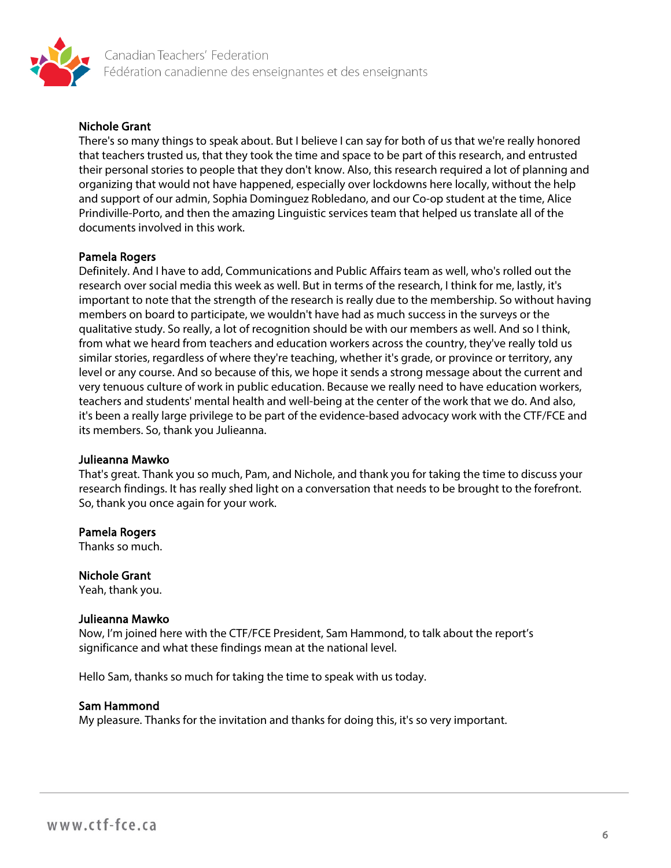

### Nichole Grant

There's so many things to speak about. But I believe I can say for both of us that we're really honored that teachers trusted us, that they took the time and space to be part of this research, and entrusted their personal stories to people that they don't know. Also, this research required a lot of planning and organizing that would not have happened, especially over lockdowns here locally, without the help and support of our admin, Sophia Dominguez Robledano, and our Co-op student at the time, Alice Prindiville-Porto, and then the amazing Linguistic services team that helped us translate all of the documents involved in this work.

#### Pamela Rogers

Definitely. And I have to add, Communications and Public Affairs team as well, who's rolled out the research over social media this week as well. But in terms of the research, I think for me, lastly, it's important to note that the strength of the research is really due to the membership. So without having members on board to participate, we wouldn't have had as much success in the surveys or the qualitative study. So really, a lot of recognition should be with our members as well. And so I think, from what we heard from teachers and education workers across the country, they've really told us similar stories, regardless of where they're teaching, whether it's grade, or province or territory, any level or any course. And so because of this, we hope it sends a strong message about the current and very tenuous culture of work in public education. Because we really need to have education workers, teachers and students' mental health and well-being at the center of the work that we do. And also, it's been a really large privilege to be part of the evidence-based advocacy work with the CTF/FCE and its members. So, thank you Julieanna.

#### Julieanna Mawko

That's great. Thank you so much, Pam, and Nichole, and thank you for taking the time to discuss your research findings. It has really shed light on a conversation that needs to be brought to the forefront. So, thank you once again for your work.

#### Pamela Rogers

Thanks so much.

### Nichole Grant

Yeah, thank you.

#### Julieanna Mawko

Now, I'm joined here with the CTF/FCE President, Sam Hammond, to talk about the report's significance and what these findings mean at the national level.

Hello Sam, thanks so much for taking the time to speak with us today.

#### Sam Hammond

My pleasure. Thanks for the invitation and thanks for doing this, it's so very important.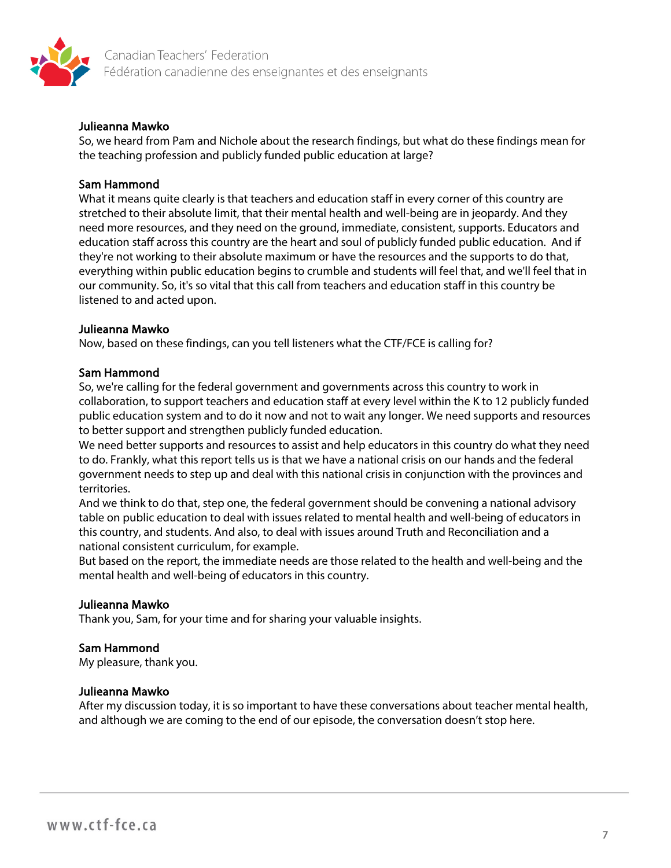

### Julieanna Mawko

So, we heard from Pam and Nichole about the research findings, but what do these findings mean for the teaching profession and publicly funded public education at large?

### Sam Hammond

What it means quite clearly is that teachers and education staff in every corner of this country are stretched to their absolute limit, that their mental health and well-being are in jeopardy. And they need more resources, and they need on the ground, immediate, consistent, supports. Educators and education staff across this country are the heart and soul of publicly funded public education. And if they're not working to their absolute maximum or have the resources and the supports to do that, everything within public education begins to crumble and students will feel that, and we'll feel that in our community. So, it's so vital that this call from teachers and education staff in this country be listened to and acted upon.

#### Julieanna Mawko

Now, based on these findings, can you tell listeners what the CTF/FCE is calling for?

#### Sam Hammond

So, we're calling for the federal government and governments across this country to work in collaboration, to support teachers and education staff at every level within the K to 12 publicly funded public education system and to do it now and not to wait any longer. We need supports and resources to better support and strengthen publicly funded education.

We need better supports and resources to assist and help educators in this country do what they need to do. Frankly, what this report tells us is that we have a national crisis on our hands and the federal government needs to step up and deal with this national crisis in conjunction with the provinces and territories.

And we think to do that, step one, the federal government should be convening a national advisory table on public education to deal with issues related to mental health and well-being of educators in this country, and students. And also, to deal with issues around Truth and Reconciliation and a national consistent curriculum, for example.

But based on the report, the immediate needs are those related to the health and well-being and the mental health and well-being of educators in this country.

### Julieanna Mawko

Thank you, Sam, for your time and for sharing your valuable insights.

### Sam Hammond

My pleasure, thank you.

#### Julieanna Mawko

After my discussion today, it is so important to have these conversations about teacher mental health, and although we are coming to the end of our episode, the conversation doesn't stop here.